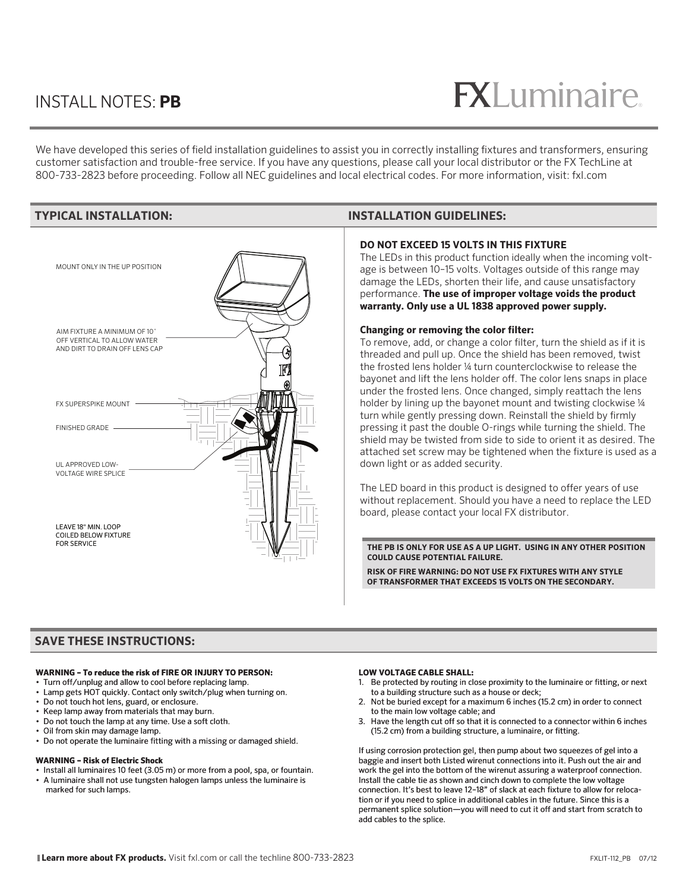### INSTALL NOTES: **PB**

# $R$

We have developed this series of field installation guidelines to assist you in correctly installing fixtures and transformers, ensuring customer satisfaction and trouble-free service. If you have any questions, please call your local distributor or the FX TechLine at 800-733-2823 before proceeding. Follow all NEC guidelines and local electrical codes. For more information, visit: fxl.com



### **TYPICAL INSTALLATION: INSTALLATION GUIDELINES:**

#### **DO NOT EXCEED 15 VOLTS IN THIS FIXTURE**

The LEDs in this product function ideally when the incoming voltage is between 10–15 volts. Voltages outside of this range may damage the LEDs, shorten their life, and cause unsatisfactory performance. **The use of improper voltage voids the product warranty. Only use a UL 1838 approved power supply.**

#### **Changing or removing the color filter:**

To remove, add, or change a color filter, turn the shield as if it is threaded and pull up. Once the shield has been removed, twist the frosted lens holder ¼ turn counterclockwise to release the bayonet and lift the lens holder off. The color lens snaps in place under the frosted lens. Once changed, simply reattach the lens holder by lining up the bayonet mount and twisting clockwise 1/4 turn while gently pressing down. Reinstall the shield by firmly pressing it past the double O-rings while turning the shield. The shield may be twisted from side to side to orient it as desired. The attached set screw may be tightened when the fixture is used as a down light or as added security.

The LED board in this product is designed to offer years of use without replacement. Should you have a need to replace the LED board, please contact your local FX distributor.

#### **THE PB IS ONLY FOR USE AS A UP LIGHT. USING IN ANY OTHER POSITION COULD CAUSE POTENTIAL FAILURE.**

**RISK OF FIRE WARNING: DO NOT USE FX FIXTURES WITH ANY STYLE OF TRANSFORMER THAT EXCEEDS 15 VOLTS ON THE SECONDARY.** 

#### **SAVE THESE INSTRUCTIONS:**

#### **WARNING – To reduce the risk of FIRE OR INJURY TO PERSON:**

- Turn off/unplug and allow to cool before replacing lamp.
- Lamp gets HOT quickly. Contact only switch/plug when turning on.
- Do not touch hot lens, guard, or enclosure.
- Keep lamp away from materials that may burn.
- Do not touch the lamp at any time. Use a soft cloth.
- Oil from skin may damage lamp.
- Do not operate the luminaire fitting with a missing or damaged shield.

#### **WARNING – Risk of Electric Shock**

- Install all luminaires 10 feet (3.05 m) or more from a pool, spa, or fountain.
- A luminaire shall not use tungsten halogen lamps unless the luminaire is marked for such lamps.

#### **LOW VOLTAGE CABLE SHALL:**

- 1. Be protected by routing in close proximity to the luminaire or fitting, or next to a building structure such as a house or deck;
- 2. Not be buried except for a maximum 6 inches (15.2 cm) in order to connect to the main low voltage cable; and
- 3. Have the length cut off so that it is connected to a connector within 6 inches (15.2 cm) from a building structure, a luminaire, or fitting.

If using corrosion protection gel, then pump about two squeezes of gel into a baggie and insert both Listed wirenut connections into it. Push out the air and work the gel into the bottom of the wirenut assuring a waterproof connection. Install the cable tie as shown and cinch down to complete the low voltage connection. It's best to leave 12–18" of slack at each fixture to allow for relocation or if you need to splice in additional cables in the future. Since this is a permanent splice solution—you will need to cut it off and start from scratch to add cables to the splice.